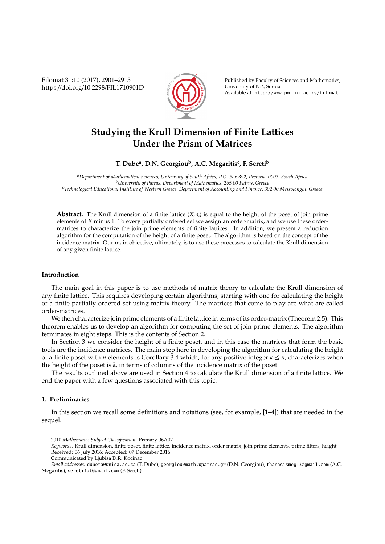Filomat 31:10 (2017), 2901–2915 https://doi.org/10.2298/FIL1710901D



Published by Faculty of Sciences and Mathematics, University of Niš, Serbia Available at: http://www.pmf.ni.ac.rs/filomat

# **Studying the Krull Dimension of Finite Lattices Under the Prism of Matrices**

# **T. Dube<sup>a</sup> , D.N. Georgiou<sup>b</sup> , A.C. Megaritis<sup>c</sup> , F. Sereti<sup>b</sup>**

*<sup>a</sup>Department of Mathematical Sciences, University of South Africa, P.O. Box 392, Pretoria, 0003, South Africa <sup>b</sup>University of Patras, Department of Mathematics, 265 00 Patras, Greece <sup>c</sup>Technological Educational Institute of Western Greece, Department of Accounting and Finance, 302 00 Messolonghi, Greece*

**Abstract.** The Krull dimension of a finite lattice  $(X, \leq)$  is equal to the height of the poset of join prime elements of *X* minus 1. To every partially ordered set we assign an order-matrix, and we use these ordermatrices to characterize the join prime elements of finite lattices. In addition, we present a reduction algorithm for the computation of the height of a finite poset. The algorithm is based on the concept of the incidence matrix. Our main objective, ultimately, is to use these processes to calculate the Krull dimension of any given finite lattice.

#### **Introduction**

The main goal in this paper is to use methods of matrix theory to calculate the Krull dimension of any finite lattice. This requires developing certain algorithms, starting with one for calculating the height of a finite partially ordered set using matrix theory. The matrices that come to play are what are called order-matrices.

We then characterize join prime elements of a finite lattice in terms of its order-matrix (Theorem 2.5). This theorem enables us to develop an algorithm for computing the set of join prime elements. The algorithm terminates in eight steps. This is the contents of Section 2.

In Section 3 we consider the height of a finite poset, and in this case the matrices that form the basic tools are the incidence matrices. The main step here in developing the algorithm for calculating the height of a finite poset with *n* elements is Corollary 3.4 which, for any positive integer  $k \leq n$ , characterizes when the height of the poset is *k*, in terms of columns of the incidence matrix of the poset.

The results outlined above are used in Section 4 to calculate the Krull dimension of a finite lattice. We end the paper with a few questions associated with this topic.

# **1. Preliminaries**

In this section we recall some definitions and notations (see, for example, [1–4]) that are needed in the sequel.

<sup>2010</sup> *Mathematics Subject Classification*. Primary 06A07

*Keywords*. Krull dimension, finite poset, finite lattice, incidence matrix, order-matrix, join prime elements, prime filters, height Received: 06 July 2016; Accepted: 07 December 2016

Communicated by Ljubiša D.R. Kočinac

*Email addresses:* dubeta@unisa.ac.za (T. Dube), georgiou@math.upatras.gr (D.N. Georgiou), thanasismeg13@gmail.com (A.C. Megaritis), seretifot@gmail.com (F. Sereti)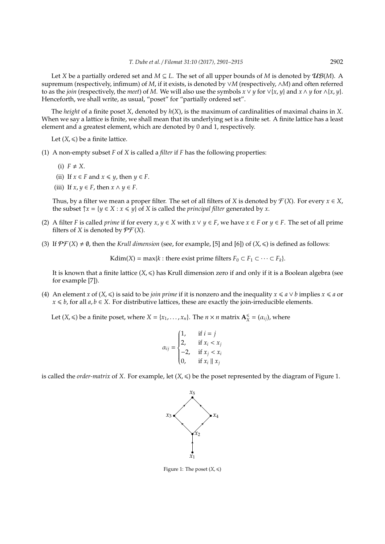Let *X* be a partially ordered set and  $M \subseteq L$ . The set of all upper bounds of *M* is denoted by  $\mathcal{UB}(M)$ . A supremum (respectively, infimum) of *M*, if it exists, is denoted by ∨*M* (respectively, ∧*M*) and often referred to as the *join* (respectively, the *meet*) of *M*. We will also use the symbols  $x \vee y$  for  $\vee \{x, y\}$  and  $x \wedge y$  for  $\wedge \{x, y\}$ . Henceforth, we shall write, as usual, "poset" for "partially ordered set".

The *height* of a finite poset *X*, denoted by *h*(*X*), is the maximum of cardinalities of maximal chains in *X*. When we say a lattice is finite, we shall mean that its underlying set is a finite set. A finite lattice has a least element and a greatest element, which are denoted by 0 and 1, respectively.

Let  $(X, \leq)$  be a finite lattice.

- (1) A non-empty subset *F* of *X* is called a *filter* if *F* has the following properties:
	- $(i)$   $F \neq X$ .
	- (ii) If  $x \in F$  and  $x \leq y$ , then  $y \in F$ .
	- (iii) If  $x, y \in F$ , then  $x \wedge y \in F$ .

Thus, by a filter we mean a proper filter. The set of all filters of *X* is denoted by  $\mathcal{F}(X)$ . For every  $x \in X$ , the subset  $\uparrow x = \{y \in X : x \leq y\}$  of *X* is called the *principal filter* generated by *x*.

- (2) A filter *F* is called *prime* if for every  $x, y \in X$  with  $x \vee y \in F$ , we have  $x \in F$  or  $y \in F$ . The set of all prime filters of *X* is denoted by  $\mathcal{P}\mathcal{F}(X)$ .
- (3) If  $\mathcal{P} \mathcal{F}(X) \neq \emptyset$ , then the *Krull dimension* (see, for example, [5] and [6]) of  $(X, \leq)$  is defined as follows:

Kdim(*X*) = max{*k* : there exist prime filters  $F_0 \subset F_1 \subset \cdots \subset F_k$ }.

It is known that a finite lattice  $(X, \leq)$  has Krull dimension zero if and only if it is a Boolean algebra (see for example [7]).

(4) An element *x* of  $(X, \leq)$  is said to be *join prime* if it is nonzero and the inequality  $x \leq a \vee b$  implies  $x \leq a$  or *x* ≤ *b*, for all *a*, *b* ∈ *X*. For distributive lattices, these are exactly the join-irreducible elements.

Let  $(X, \leqslant)$  be a finite poset, where  $X = \{x_1, \ldots, x_n\}$ . The  $n \times n$  matrix  $\mathbf{A}_X^{\leqslant}$  $\mathbf{x}^* = (\alpha_{ij})$ , where

$$
\alpha_{ij} = \begin{cases} 1, & \text{if } i = j \\ 2, & \text{if } x_i < x_j \\ -2, & \text{if } x_j < x_i \\ 0, & \text{if } x_i \parallel x_j \end{cases}
$$

is called the *order-matrix* of *X*. For example, let  $(X, \leq)$  be the poset represented by the diagram of Figure 1.



Figure 1: The poset  $(X, \leq)$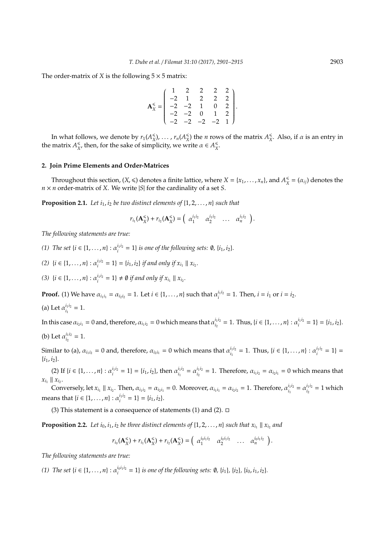The order-matrix of *X* is the following  $5 \times 5$  matrix:

$$
\mathbf{A}_{X}^{\leq} = \begin{pmatrix} 1 & 2 & 2 & 2 & 2 \\ -2 & 1 & 2 & 2 & 2 \\ -2 & -2 & 1 & 0 & 2 \\ -2 & -2 & 0 & 1 & 2 \\ -2 & -2 & -2 & -2 & 1 \end{pmatrix}.
$$

In what follows, we denote by  $r_1(A_{\chi}^{\leq$  $\binom{<}{X}$ , ...,  $r_n(A_X^{\leq$  $(X)$ <sup> $\leq$ </sup> the *n* rows of the matrix  $A_X^{\leq}$  $\frac{\epsilon}{X}$ . Also, if  $\alpha$  is an entry in the matrix  $A_{\rm x}^{\leq$  $\frac{1}{x}$ , then, for the sake of simplicity, we write  $\alpha \in A_{X}^{\leq}$ *X* .

## **2. Join Prime Elements and Order-Matrices**

Throughout this section,  $(X, \leqslant)$  denotes a finite lattice, where  $X = \{x_1, \ldots, x_n\}$ , and  $A_X^{\leqslant}$  $\frac{\epsilon}{X} = (\alpha_{ij})$  denotes the *n* × *n* order-matrix of *X*. We write |*S*| for the cardinality of a set *S*.

**Proposition 2.1.** Let  $i_1$ ,  $i_2$  be two distinct elements of  $\{1, 2, \ldots, n\}$  such that

$$
r_{i_1}(\mathbf{A}_X^{\leq}) + r_{i_2}(\mathbf{A}_X^{\leq}) = \begin{pmatrix} \alpha_1^{i_1 i_2} & \alpha_2^{i_1 i_2} & \dots & \alpha_n^{i_1 i_2} \end{pmatrix}.
$$

*The following statements are true:*

*(1) The set*  $\{i \in \{1, ..., n\} : \alpha_i^{i_1 i_2} = 1\}$  *is one of the following sets:*  $\emptyset$ ,  $\{i_1, i_2\}$ *.* 

(2)  $\{i \in \{1, ..., n\} : \alpha_i^{i_1 i_2} = 1\} = \{i_1, i_2\} \text{ if and only if } x_{i_1} \parallel x_{i_2}.$ 

*(3)*  $\{i \in \{1, ..., n\} : \alpha_i^{i_1 i_2} = 1\} \neq \emptyset$  *if and only if*  $x_{i_1} \parallel x_{i_2}$ .

**Proof.** (1) We have  $\alpha_{i_1 i_1} = \alpha_{i_2 i_2} = 1$ . Let  $i \in \{1, ..., n\}$  such that  $\alpha_i^{i_1 i_2} = 1$ . Then,  $i = i_1$  or  $i = i_2$ .

(a) Let  $\alpha_i^{i_1 i_2}$  $i_1^{l_1 l_2} = 1.$ 

In this case  $\alpha_{i_2 i_1} = 0$  and, therefore,  $\alpha_{i_1 i_2} = 0$  which means that  $\alpha_{i_1}^{i_1 i_2}$  $i_1 i_2 = 1$ . Thus,  $\{i \in \{1, ..., n\} : \alpha_i^{i_1 i_2} = 1\} = \{i_1, i_2\}.$ 

(b) Let  $\alpha^{i_1 i_2}_{i_2}$  $i_2^{i_1 i_2} = 1.$ 

Similar to (a),  $\alpha_{i_1 i_2} = 0$  and, therefore,  $\alpha_{i_2 i_1} = 0$  which means that  $\alpha_{i_1}^{i_1 i_2}$  $i_1 i_2 = 1$ . Thus,  $\{i \in \{1, ..., n\} : \alpha_i^{i_1 i_2} = 1\}$  $\{i_1, i_2\}.$ 

(2) If  $\{i \in \{1, ..., n\} : \alpha_i^{i_1 i_2} = 1\} = \{i_1, i_2\}$ , then  $\alpha_{i_1}^{i_1 i_2}$  $i_1^{i_1 i_2} = \alpha_{i_2}^{i_1 i_2}$  $a_{i_2}^{i_1 i_2} = 1$ . Therefore,  $\alpha_{i_1 i_2} = \alpha_{i_2 i_1} = 0$  which means that  $x_{i_1} \parallel x_{i_2}$ .

Conversely, let  $x_{i_1} \parallel x_{i_2}$ . Then,  $\alpha_{i_1 i_2} = \alpha_{i_2 i_1} = 0$ . Moreover,  $\alpha_{i_1 i_1} = \alpha_{i_2 i_2} = 1$ . Therefore,  $\alpha_{i_1}^{i_1 i_2}$  $\alpha_{i_1}^{i_1 i_2} = \alpha_{i_2}^{i_1 i_2}$  $i_1^{l_1 l_2} = 1$  which means that  $\{i \in \{1, ..., n\} : \alpha_i^{i_1 i_2} = 1\} = \{i_1, i_2\}.$ 

(3) This statement is a consequence of statements (1) and (2).  $\Box$ 

**Proposition 2.2.** Let  $i_0, i_1, i_2$  be three distinct elements of  $\{1, 2, \ldots, n\}$  such that  $x_{i_1} \parallel x_{i_2}$  and

$$
r_{i_0}(\mathbf{A}_{X}^{\leq})+r_{i_1}(\mathbf{A}_{X}^{\leq})+r_{i_2}(\mathbf{A}_{X}^{\leq})=\left(\begin{array}{cccc} \alpha_1^{i_0i_1i_2} & \alpha_2^{i_0i_1i_2} & \dots & \alpha_n^{i_0i_1i_2} \end{array}\right).
$$

*The following statements are true:*

(1) The set  $\{i \in \{1, ..., n\} : \alpha_i^{i_0 i_1 i_2} = 1\}$  is one of the following sets:  $\emptyset$ ,  $\{i_1\}$ ,  $\{i_2\}$ ,  $\{i_0, i_1, i_2\}$ .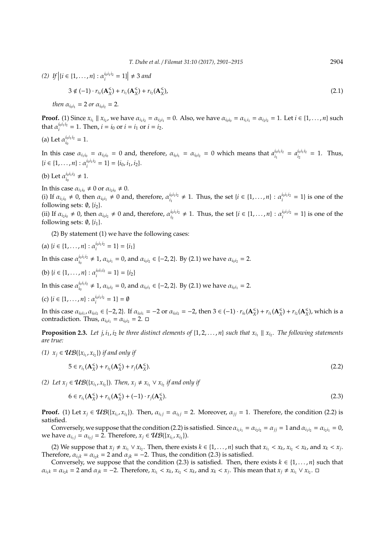(2) If  $|i \in \{1, ..., n\} : \alpha_i^{i_0 i_1 i_2} = 1\}$   $\neq$  3 and

$$
3 \notin (-1) \cdot r_{i_0}(\mathbf{A}_{X}^{\leq}) + r_{i_1}(\mathbf{A}_{X}^{\leq}) + r_{i_2}(\mathbf{A}_{X}^{\leq}), \tag{2.1}
$$

*then*  $\alpha_{i_0 i_1} = 2$  *or*  $\alpha_{i_0 i_2} = 2$ *.* 

**Proof.** (1) Since  $x_{i_1} \parallel x_{i_2}$ , we have  $\alpha_{i_1 i_2} = \alpha_{i_2 i_1} = 0$ . Also, we have  $\alpha_{i_0 i_0} = \alpha_{i_1 i_1} = \alpha_{i_2 i_2} = 1$ . Let  $i \in \{1, ..., n\}$  such that  $\alpha_i^{i_0 i_1 i_2} = 1$ . Then,  $i = i_0$  or  $i = i_1$  or  $i = i_2$ .

(a) Let  $\alpha_{i_0}^{i_0 i_1 i_2}$  $i_0^{l_0 l_1 l_2} = 1.$ 

In this case  $\alpha_{i_1i_0} = \alpha_{i_2i_0} = 0$  and, therefore,  $\alpha_{i_0i_1} = \alpha_{i_0i_2} = 0$  which means that  $a_i^{i_0i_1i_2}$  $i_0 i_1 i_2 = a_{i_2}^{i_0 i_1 i_2}$  $\int_{i_2}^{i_0 i_1 i_2} = 1$ . Thus,  $\{i \in \{1, \ldots, n\} : \alpha_i^{i_0 i_1 i_2} = 1\} = \{i_0, i_1, i_2\}.$ 

(b) Let  $\alpha_{i_0}^{i_0 i_1 i_2}$  $i_0 i_1 i_2 \neq 1.$ 

In this case  $\alpha_{i_1 i_0} \neq 0$  or  $\alpha_{i_2 i_0} \neq 0$ .

(i) If  $\alpha_{i_1 i_0} \neq 0$ , then  $\alpha_{i_0 i_1} \neq 0$  and, therefore,  $\alpha_{i_1}^{i_0 i_1 i_2}$ *i*<sub>0</sub>*i*<sub>1</sub>*i*<sub>2</sub> ≠ 1. Thus, the set {*i* ∈ {1, . . . , *n*} :  $\alpha_i^{i_0 i_1 i_2} = 1$ } is one of the following sets:  $\emptyset$ ,  $\{i_2\}$ .

(ii) If  $\alpha_{i_2 i_0} \neq 0$ , then  $\alpha_{i_0 i_2} \neq 0$  and, therefore,  $\alpha_{i_0}^{i_0 i_1 i_2}$ *i*<sub>0*i*</sup><sup>1</sup><sup>*i*</sup><sub>2</sub> ≠ 1. Thus, the set {*i* ∈ {1, . . . , *n*} :  $\alpha_i^{i_0 i_1 i_2} = 1$ } is one of the</sub> following sets:  $\emptyset$ ,  $\{i_1\}$ .

(2) By statement (1) we have the following cases:

(a) 
$$
\{i \in \{1, ..., n\} : \alpha_i^{i_0 i_1 i_2} = 1\} = \{i_1\}
$$

In this case  $\alpha_{i_0}^{i_0 i_1 i_2}$  $a_{i_0}^{i_0 i_1 i_2} \neq 1$ ,  $\alpha_{i_0 i_1} = 0$ , and  $\alpha_{i_0 i_2} \in \{-2, 2\}$ . By (2.1) we have  $\alpha_{i_0 i_2} = 2$ .

(b) 
$$
\{i \in \{1, ..., n\} : \alpha_i^{i_0 i_1 i_2} = 1\} = \{i_2\}
$$

In this case  $\alpha_{i_0}^{i_0 i_1 i_2}$  $a_{i_0}^{i_0 i_1 i_2} \neq 1$ ,  $\alpha_{i_0 i_2} = 0$ , and  $\alpha_{i_0 i_1} \in \{-2, 2\}$ . By (2.1) we have  $\alpha_{i_0 i_1} = 2$ .

(c) 
$$
\{i \in \{1, ..., n\} : \alpha_i^{i_0 i_1 i_2} = 1\} = \emptyset
$$

In this case  $\alpha_{i_0i_1}$ ,  $\alpha_{i_0i_2} \in \{-2, 2\}$ . If  $\alpha_{i_0i_1} = -2$  or  $\alpha_{i_0i_2} = -2$ , then  $3 \in (-1) \cdot r_{i_0}(\mathbf{A}_X^{\leq})$  $\binom{<}{X}$  +  $r_{i_1}$  (**A** $_X^{\leq}$  $\binom{<}{X}$  +  $r_{i_2}$  (**A** $_{X}$  $\binom{s}{X}$ , which is a contradiction. Thus,  $\alpha_{i_0i_1} = \alpha_{i_0i_2} = 2$ .  $\Box$ 

**Proposition 2.3.** Let  $j, i_1, i_2$  be three distinct elements of  $\{1, 2, ..., n\}$  such that  $x_{i_1} \parallel x_{i_2}$ . The following statements *are true:*

*(1)*  $x_j$  ∈  $UB(x_{i_1}, x_{i_2})$  *if and only if* 

$$
5 \in r_{i_1}(\mathbf{A}_X^{\leqslant}) + r_{i_2}(\mathbf{A}_X^{\leqslant}) + r_j(\mathbf{A}_X^{\leqslant}).
$$
\n(2.2)

*(2) Let*  $x_j$  ∈  $UB({x_{i_1}, x_{i_2}})$ *. Then,*  $x_j ≠ x_{i_1} ∨ x_{i_2}$  *if and only if* 

$$
6 \in r_{i_1}(\mathbf{A}_X^{\leqslant}) + r_{i_2}(\mathbf{A}_X^{\leqslant}) + (-1) \cdot r_j(\mathbf{A}_X^{\leqslant}).
$$
\n(2.3)

**Proof.** (1) Let  $x_j \in \mathcal{UB}(\{x_{i_1}, x_{i_2}\})$ . Then,  $\alpha_{i_1j} = \alpha_{i_2j} = 2$ . Moreover,  $\alpha_{jj} = 1$ . Therefore, the condition (2.2) is satisfied.

Conversely, we suppose that the condition (2.2) is satisfied. Since  $\alpha_{i_1i_1} = \alpha_{i_2i_2} = \alpha_{i_1i} = 1$  and  $\alpha_{i_1i_2} = \alpha_{i_2i_1} = 0$ , we have  $\alpha_{i_1 j} = \alpha_{i_2 j} = 2$ . Therefore,  $x_j \in \mathcal{UB}(\lbrace x_{i_1}, x_{i_2} \rbrace)$ .

(2) We suppose that  $x_j \neq x_{i_1} \vee x_{i_2}$ . Then, there exists  $k \in \{1, ..., n\}$  such that  $x_{i_1} < x_k$ ,  $x_{i_2} < x_k$ , and  $x_k < x_j$ . Therefore,  $\alpha_{i,k} = \alpha_{i,k} = 2$  and  $\alpha_{ik} = -2$ . Thus, the condition (2.3) is satisfied.

Conversely, we suppose that the condition (2.3) is satisfied. Then, there exists  $k \in \{1, ..., n\}$  such that  $\alpha_{i_1k} = \alpha_{i_2k} = 2$  and  $\alpha_{jk} = -2$ . Therefore,  $x_{i_1} < x_k$ ,  $x_{i_2} < x_k$ , and  $x_k < x_j$ . This mean that  $x_j \neq x_{i_1} \vee x_{i_2}$ .  $\Box$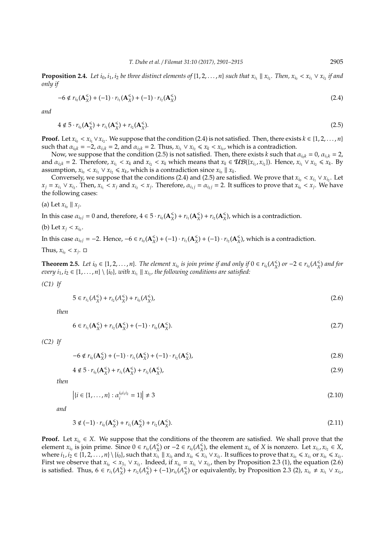**Proposition 2.4.** Let  $i_0, i_1, i_2$  be three distinct elements of  $\{1, 2, ..., n\}$  such that  $x_{i_1} \parallel x_{i_2}$ . Then,  $x_{i_0} < x_{i_1} \vee x_{i_2}$  if and *only if*

$$
-6 \notin r_{i_0}(\mathbf{A}_X^{\leqslant}) + (-1) \cdot r_{i_1}(\mathbf{A}_X^{\leqslant}) + (-1) \cdot r_{i_2}(\mathbf{A}_X^{\leqslant}) \tag{2.4}
$$

*and*

$$
4 \notin 5 \cdot r_{i_0}(\mathbf{A}_X^{\leqslant}) + r_{i_1}(\mathbf{A}_X^{\leqslant}) + r_{i_2}(\mathbf{A}_X^{\leqslant}).
$$
\n(2.5)

**Proof.** Let  $x_{i_0} < x_{i_1} \vee x_{i_2}$ . We suppose that the condition (2.4) is not satisfied. Then, there exists  $k \in \{1, 2, ..., n\}$ such that  $\alpha_{i_0k} = -2$ ,  $\alpha_{i_1k} = 2$ , and  $\alpha_{i_2k} = 2$ . Thus,  $x_{i_1} \vee x_{i_2} \le x_k < x_{i_0}$ , which is a contradiction.

Now, we suppose that the condition (2.5) is not satisfied. Then, there exists *k* such that  $\alpha_{i_0k} = 0$ ,  $\alpha_{i_1k} = 2$ , and  $\alpha_{i_2k} = 2$ . Therefore,  $x_{i_1} < x_k$  and  $x_{i_2} < x_k$  which means that  $x_k \in \mathcal{UB}(\{x_{i_1}, x_{i_2}\})$ . Hence,  $x_{i_1} \vee x_{i_2} \leq x_k$ . By assumption,  $x_{i_0} < x_{i_1} \vee x_{i_2} \le x_k$ , which is a contradiction since  $x_{i_0} \parallel x_k$ .

Conversely, we suppose that the conditions (2.4) and (2.5) are satisfied. We prove that  $x_{i_0} < x_{i_1} \vee x_{i_2}$ . Let  $x_j = x_{i_1} \vee x_{i_2}$ . Then,  $x_{i_1} < x_j$  and  $x_{i_2} < x_j$ . Therefore,  $\alpha_{i_1j} = \alpha_{i_2j} = 2$ . It suffices to prove that  $x_{i_0} < x_j$ . We have the following cases:

(a) Let  $x_{i_0} \parallel x_j$ .

In this case  $\alpha_{i_0 j} = 0$  and, therefore,  $4 \in 5 \cdot r_{i_0}(\mathbf{A}_X^{\leq})$  $\binom{<}{X}$  +  $r_{i_1}$  (**A** $\binom{<}{X}$  $\binom{<}{X}$  +  $r_{i_2}$  (**A** $_{X}$  $\binom{4}{X}$ , which is a contradiction.

(b) Let  $x_j < x_{i_0}$ .

In this case  $\alpha_{i_0j} = -2$ . Hence,  $-6 \in r_{i_0}(\mathbf{A}_X^{\leq})$  $\binom{<}{X}$  + (−1) ·  $r_{i_1}$ (**A** $\binom{<}{X}$  $\binom{<}{X}$  + (−1) · *r*<sub>*i*2</sub>(**A** $\binom{<}{X}$  $\binom{4}{X}$ , which is a contradiction.

Thus,  $x_{i_0} < x_j$ .  $\Box$ 

**Theorem 2.5.** Let  $i_0 \in \{1, 2, ..., n\}$ . The element  $x_{i_0}$  is join prime if and only if  $0 \in r_{i_0}(A_X^{\leq n})$  $\binom{≤}{X}$  *or* −2 ∈  $r_{i_0}(A_X^{\leq}$ *X* ) *and for every*  $i_1, i_2 \in \{1, \ldots, n\} \setminus \{i_0\}$ , with  $x_{i_1} \parallel x_{i_2}$ , the following conditions are satisfied:

*(C1) If*

$$
5 \in r_{i_1}(A_X^{\leqslant}) + r_{i_2}(A_X^{\leqslant}) + r_{i_0}(A_X^{\leqslant})\tag{2.6}
$$

*then*

$$
6 \in r_{i_1}(\mathbf{A}_X^{\leqslant}) + r_{i_2}(\mathbf{A}_X^{\leqslant}) + (-1) \cdot r_{i_0}(\mathbf{A}_X^{\leqslant}).
$$
\n(2.7)

*(C2) If*

$$
-6 \notin r_{i_0}(\mathbf{A}_X^{\leqslant}) + (-1) \cdot r_{i_1}(\mathbf{A}_X^{\leqslant}) + (-1) \cdot r_{i_2}(\mathbf{A}_X^{\leqslant}),
$$
\n(2.8)

$$
4 \notin 5 \cdot r_{i_0}(\mathbf{A}_{X}^{\leq}) + r_{i_1}(\mathbf{A}_{X}^{\leq}) + r_{i_2}(\mathbf{A}_{X}^{\leq}), \tag{2.9}
$$

*then*

$$
|\{i \in \{1, \dots, n\} : \alpha_i^{i_0 i_1 i_2} = 1\}| \neq 3
$$
\n(2.10)

*and*

$$
3 \notin (-1) \cdot r_{i_0}(\mathbf{A}_{X}^{\leq}) + r_{i_1}(\mathbf{A}_{X}^{\leq}) + r_{i_2}(\mathbf{A}_{X}^{\leq}).
$$
\n(2.11)

**Proof.** Let  $x_{i_0} \in X$ . We suppose that the conditions of the theorem are satisfied. We shall prove that the element  $x_{i_0}$  is join prime. Since  $0 \in r_{i_0}(A_{\chi}^{\leq})$  $\binom{≤}{X}$  or  $-2 \in r_{i_0}(A_X^{\leq}$  $\frac{\epsilon}{X}$ ), the element *x*<sup>*i*0</sup> of *X* is nonzero. Let *x*<sup>*i*<sub>1</sub></sup>, *x*<sup>*i*<sub>2</sub></sup> ∈ *X*, where  $i_1, i_2 \in \{1, 2, ..., n\} \setminus \{i_0\}$ , such that  $x_{i_1} \parallel x_{i_2}$  and  $x_{i_0} \leq x_{i_1} \vee x_{i_2}$ . It suffices to prove that  $x_{i_0} \leq x_{i_1}$  or  $x_{i_0} \leq x_{i_2}$ . First we observe that  $x_{i_0} < x_{1_1} \vee x_{i_2}$ . Indeed, if  $x_{i_0} = x_{i_1} \vee x_{i_2}$ , then by Proposition 2.3 (1), the equation (2.6) is satisfied. Thus,  $6 \in \mathcal{r}_{i_1}(A_{\mathbf{X}}^{\leq})$  $\frac{1}{X}$ ) +  $r_{i_2}$  (A<sub>X</sub>  $\binom{4}{X}$  + (−1) $r_{i_0}$  (*A* $\binom{4}{X}$  $\frac{\le}{X}$  or equivalently, by Proposition 2.3 (2), *x*<sup>*i*<sub>0</sub></sup> ≠ *x*<sup>*i*</sup><sub>1</sub> ∨ *x*<sup>*i*<sub>2</sub></sup>,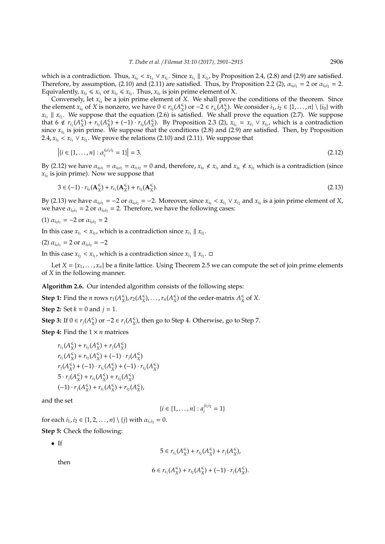which is a contradiction. Thus,  $x_{i_0} < x_{1_1} \vee x_{i_2}$ . Since  $x_{i_1} \parallel x_{i_2}$ , by Proposition 2.4, (2.8) and (2.9) are satisfied. Therefore, by assumption, (2.10) and (2.11) are satisfied. Thus, by Proposition 2.2 (2),  $\alpha_{i_0i_1} = 2$  or  $\alpha_{i_0i_2} = 2$ . Equivalently,  $x_{i_0} \le x_{i_1}$  or  $x_{i_0} \le x_{i_2}$ . Thus,  $x_{i_0}$  is join prime element of X.

Conversely, let  $x_i$ <sup>0</sup> be a join prime element of *X*. We shall prove the conditions of the theorem. Since the element  $x_{i_0}$  of *X* is nonzero, we have  $0 \in r_{i_0}(A_{X}^{\leq})$  $\binom{2}{X}$  or −2 ∈  $r_{i_0}$  ( $A_X^{\leq}$  $\binom{≤}{X}$ . We consider *i*<sub>1</sub>, *i*<sub>2</sub> ∈ {1, . . . , *n*} \ {*i*<sub>0</sub>} with  $x_{i_1} \parallel x_{i_2}$ . We suppose that the equation (2.6) is satisfied. We shall prove the equation (2.7). We suppose that  $6 \notin r_{i_1}(A_X^{\leq})$  $\binom{2}{X}$  +  $r_{i_2}(A_X^{\leq})$  $(\frac{2}{x}) + (-1) \cdot r_{i_0}(A_{X}^{\leq$  $\chi$ <sup>₹</sup>). By Proposition 2.3 (2),  $x_{i_0} = x_{i_1} \vee x_{i_2}$ , which is a contradiction since  $x_{i_0}$  is join prime. We suppose that the conditions (2.8) and (2.9) are satisfied. Then, by Proposition 2.4,  $x_{i_0} < x_{i_1} \vee x_{i_2}$ . We prove the relations (2.10) and (2.11). We suppose that

$$
|{i \in \{1, ..., n\}} : \alpha_i^{i_0 i_1 i_2} = 1\}| = 3.
$$
\n(2.12)

By (2.12) we have  $\alpha_{i_0i_1} = \alpha_{i_0i_2} = \alpha_{i_1i_2} = 0$  and, therefore,  $x_{i_0} \nless x_{i_1}$  and  $x_{i_0} \nless x_{i_2}$  which is a contradiction (since  $x_{i_0}$  is join prime). Now we suppose that

$$
3 \in (-1) \cdot r_{i_0}(\mathbf{A}_{X}^{\leqslant}) + r_{i_1}(\mathbf{A}_{X}^{\leqslant}) + r_{i_2}(\mathbf{A}_{X}^{\leqslant}).
$$
\n(2.13)

By (2.13) we have  $\alpha_{i_0i_1} = -2$  or  $\alpha_{i_0i_2} = -2$ . Moreover, since  $x_{i_0} < x_{i_1} \vee x_{i_2}$  and  $x_{i_0}$  is a join prime element of *X*, we have  $\alpha_{i_0i_1} = 2$  or  $\alpha_{i_0i_2} = 2$ . Therefore, we have the following cases:

(1) 
$$
\alpha_{i_0i_1} = -2 \text{ or } \alpha_{i_0i_2} = 2
$$

In this case  $x_{i_1} < x_{i_2}$ , which is a contradiction since  $x_{i_1} \parallel x_{i_2}$ .

(2) 
$$
\alpha_{i_0 i_1} = 2 \text{ or } \alpha_{i_0 i_2} = -2
$$

In this case  $x_{i_2} < x_{i_1}$ , which is a contradiction since  $x_{i_1} \parallel x_{i_2}$ .  $\Box$ 

Let  $X = \{x_1, \ldots, x_n\}$  be a finite lattice. Using Theorem 2.5 we can compute the set of join prime elements of *X* in the following manner.

**Algorithm 2.6.** Our intended algorithm consists of the following steps:

**Step 1:** Find the *n* rows  $r_1(A_{X}^{\leq})$  $(X)$ ,  $r_2(A_X^{\leq$  $(X \times X)$ , ...,  $r_n(A_X^{\leq n})$  $(X)$  of the order-matrix  $A_X^{\leq}$  $X \propto X$ . **Step 2:** Set  $k = 0$  and  $j = 1$ .

**Step 3:** If  $0 \in r_j(A_{\text{X}}^{\leq})$  $\binom{≤}{X}$  or  $-2 \in r_j(A_X^{\leq}$  $^*_{X}$ ), then go to Step 4. Otherwise, go to Step 7.

**Step 4:** Find the  $1 \times n$  matrices

$$
r_{i_1}(A_{X}^{\leq}) + r_{i_2}(A_{X}^{\leq}) + r_{j}(A_{X}^{\leq})
$$
  
\n
$$
r_{i_1}(A_{X}^{\leq}) + r_{i_2}(A_{X}^{\leq}) + (-1) \cdot r_{j}(A_{X}^{\leq})
$$
  
\n
$$
r_{j}(A_{X}^{\leq}) + (-1) \cdot r_{i_1}(A_{X}^{\leq}) + (-1) \cdot r_{i_2}(A_{X}^{\leq})
$$
  
\n
$$
5 \cdot r_{j}(A_{X}^{\leq}) + r_{i_1}(A_{X}^{\leq}) + r_{i_2}(A_{X}^{\leq})
$$
  
\n
$$
(-1) \cdot r_{j}(A_{X}^{\le}) + r_{i_1}(A_{X}^{\le}) + r_{i_2}(A_{X}^{\le}),
$$

and the set

$$
\{i\in\{1,\ldots,n\}:a_i^{ji_1i_2}=1\}
$$

for each  $i_1, i_2 \in \{1, 2, ..., n\} \setminus \{j\}$  with  $\alpha_{i_1 i_2} = 0$ .

**Step 5:** Check the following:

• If

$$
5 \in r_{i_1}(A_{X}^{\leq}) + r_{i_2}(A_{X}^{\leq}) + r_{j}(A_{X}^{\leq}),
$$

then

$$
6 \in r_{i_1}(A_{X}^{\leq}) + r_{i_2}(A_{X}^{\leq}) + (-1) \cdot r_{j}(A_{X}^{\leq}).
$$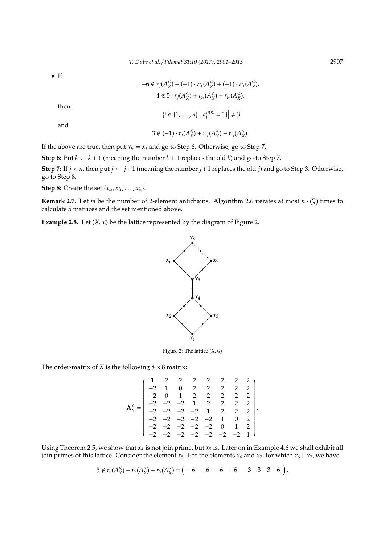• If

$$
-6 \notin r_j(A_X^{\leq}) + (-1) \cdot r_{i_1}(A_X^{\leq}) + (-1) \cdot r_{i_2}(A_X^{\leq})
$$
\n
$$
4 \notin 5 \cdot r_j(A_X^{\leq}) + r_{i_1}(A_X^{\leq}) + r_{i_2}(A_X^{\leq})
$$
\nthen\n
$$
\left| \{ i \in \{1, ..., n\} : a_i^{j i_1 i_2} = 1 \} \right| \neq 3
$$
\nand\n
$$
3 \notin (-1) \cdot r_j(A_X^{\leq}) + r_{i_1}(A_X^{\leq}) + r_{i_2}(A_X^{\leq}).
$$

If the above are true, then put  $x_{i_k} = x_j$  and go to Step 6. Otherwise, go to Step 7.

**Step 6:** Put  $k \leftarrow k + 1$  (meaning the number  $k + 1$  replaces the old  $k$ ) and go to Step 7.

**Step 7:** If  $j < n$ , then put  $j \leftarrow j+1$  (meaning the number  $j+1$  replaces the old  $j$ ) and go to Step 3. Otherwise, go to Step 8.

**Step 8:** Create the set  $\{x_{i_0}, x_{i_1}, \ldots, x_{i_k}\}.$ 

**Remark 2.7.** Let *m* be the number of 2-element antichains. Algorithm 2.6 iterates at most  $n \cdot \binom{m}{2}$  times to calculate 5 matrices and the set mentioned above.

**Example 2.8.** Let  $(X, \leq)$  be the lattice represented by the diagram of Figure 2.



Figure 2: The lattice  $(X, \leq)$ 

The order-matrix of *X* is the following  $8 \times 8$  matrix:

$$
\mathbf{A}_{\bar{x}}^{\leq} = \begin{pmatrix}\n1 & 2 & 2 & 2 & 2 & 2 & 2 & 2 & 2 \\
-2 & 1 & 0 & 2 & 2 & 2 & 2 & 2 & 2 \\
-2 & 0 & 1 & 2 & 2 & 2 & 2 & 2 \\
-2 & -2 & -2 & 1 & 2 & 2 & 2 & 2 \\
-2 & -2 & -2 & -2 & 1 & 2 & 2 & 2 \\
-2 & -2 & -2 & -2 & -2 & 0 & 1 & 2 \\
-2 & -2 & -2 & -2 & -2 & -2 & -2 & 1\n\end{pmatrix}.
$$

Using Theorem 2.5, we show that  $x_4$  is not join prime, but  $x_5$  is. Later on in Example 4.6 we shall exhibit all join primes of this lattice. Consider the element  $x_5$ . For the elements  $x_6$  and  $x_7$ , for which  $x_6 \parallel x_7$ , we have

$$
5 \notin r_6(A_X^{\leqslant}) + r_7(A_X^{\leqslant}) + r_5(A_X^{\leqslant}) = \left( \begin{array}{cccc} -6 & -6 & -6 & -3 & 3 & 3 & 6 \end{array} \right).
$$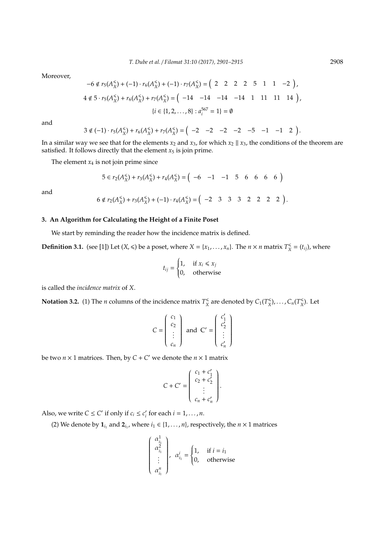Moreover,

$$
-6 \notin r_5(A_X^{\leq}) + (-1) \cdot r_6(A_X^{\leq}) + (-1) \cdot r_7(A_X^{\leq}) = \left(2 \quad 2 \quad 2 \quad 2 \quad 5 \quad 1 \quad 1 \quad -2\right),
$$
  

$$
4 \notin 5 \cdot r_5(A_X^{\leq}) + r_6(A_X^{\leq}) + r_7(A_X^{\leq}) = \left(-14 \quad -14 \quad -14 \quad -14 \quad 1 \quad 11 \quad 11 \quad 14\right),
$$
  

$$
\{i \in \{1, 2, ..., 8\} : a_i^{567} = 1\} = \emptyset
$$

and

$$
3 \notin (-1) \cdot r_5(A_X^{\leqslant}) + r_6(A_X^{\leqslant}) + r_7(A_X^{\leqslant}) = \left( \begin{array}{cccc} -2 & -2 & -2 & -2 & -5 & -1 & -1 & 2 \end{array} \right).
$$

In a similar way we see that for the elements  $x_2$  and  $x_3$ , for which  $x_2 \parallel x_3$ , the conditions of the theorem are satisfied. It follows directly that the element  $x_5$  is join prime.

The element  $x_4$  is not join prime since

$$
5 \in r_2(A_X^{\leqslant}) + r_3(A_X^{\leqslant}) + r_4(A_X^{\leqslant}) = \left( \begin{array}{cccc} -6 & -1 & -1 & 5 & 6 & 6 & 6 \end{array} \right)
$$

and

$$
6 \notin r_2(A_X^{\leqslant}) + r_3(A_X^{\leqslant}) + (-1) \cdot r_4(A_X^{\leqslant}) = \left( \begin{array}{cccc} -2 & 3 & 3 & 3 & 2 & 2 & 2 & 2 \end{array} \right).
$$

## **3. An Algorithm for Calculating the Height of a Finite Poset**

We start by reminding the reader how the incidence matrix is defined.

**Definition 3.1.** (see [1]) Let  $(X, \leq)$  be a poset, where  $X = \{x_1, \ldots, x_n\}$ . The  $n \times n$  matrix  $T_X^{\leq}$  $X^*_{X} = (t_{ij})$ , where

$$
t_{ij} = \begin{cases} 1, & \text{if } x_i \leq x_j \\ 0, & \text{otherwise} \end{cases}
$$

is called the *incidence matrix* of *X*.

**Notation 3.2.** (1) The *n* columns of the incidence matrix  $T_{\text{X}}^{\text{S}}$  $\frac{1}{X}$  are denoted by  $C_1(T_X^{\leq})$  $\binom{m}{X}$ , ...,  $C_n(T_X^{\leq n})$ *X* ). Let

$$
C = \begin{pmatrix} c_1 \\ c_2 \\ \vdots \\ c_n \end{pmatrix} \text{ and } C' = \begin{pmatrix} c'_1 \\ c'_2 \\ \vdots \\ c'_n \end{pmatrix}
$$

be two  $n \times 1$  matrices. Then, by  $C + C'$  we denote the  $n \times 1$  matrix

$$
C + C' = \left( \begin{array}{c} c_1 + c'_1 \\ c_2 + c'_2 \\ \vdots \\ c_n + c'_n \end{array} \right).
$$

Also, we write  $C \leq C'$  if only if  $c_i \leq c'_i$  $i<sub>i</sub>$  for each  $i = 1, \ldots, n$ .

(2) We denote by  $\mathbf{1}_{i_1}$  and  $\mathbf{2}_{i_1}$ , where  $i_1 \in \{1, \ldots, n\}$ , respectively, the  $n \times 1$  matrices

$$
\begin{pmatrix} \alpha_{i_1}^1 \\ \alpha_{i_1}^2 \\ \vdots \\ \alpha_{i_1}^n \end{pmatrix}, \ \alpha_{i_1}^i = \begin{cases} 1, & \text{if } i = i_1 \\ 0, & \text{otherwise} \end{cases}
$$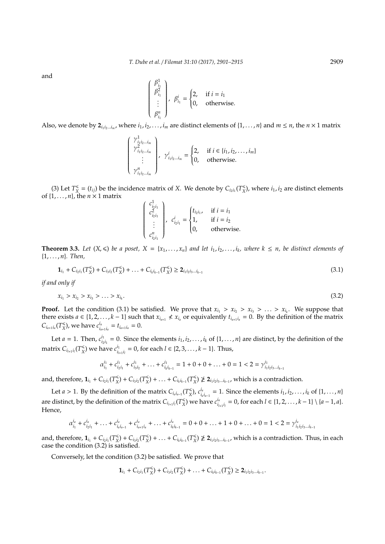and

$$
\begin{pmatrix}\n\beta_{i_1}^1 \\
\beta_{i_1}^2 \\
\vdots \\
\beta_{i_1}^n\n\end{pmatrix}, \ \beta_{i_1}^i = \begin{cases}\n2, & \text{if } i = i_1 \\
0, & \text{otherwise.} \n\end{cases}
$$

Also, we denote by  $2_{i_1i_2...i_m}$ , where  $i_1, i_2,..., i_m$  are distinct elements of  $\{1,..., n\}$  and  $m \leq n$ , the  $n \times 1$  matrix

$$
\begin{pmatrix}\n\gamma_{i_1i_2\ldots i_m}^1 \\
\gamma_{i_1i_2\ldots i_m}^2 \\
\vdots \\
\gamma_{i_1i_2\ldots i_m}^n\n\end{pmatrix},\n\gamma_{i_1i_2\ldots i_m}^i = \begin{cases}\n2, & \text{if } i \in \{i_1, i_2, \ldots, i_m\} \\
0, & \text{otherwise.} \n\end{cases}
$$

(3) Let  $T_{\text{X}}^{\leq$  $X = (t_{ij})$  be the incidence matrix of *X*. We denote by  $C_{i_2 i_1}(T_X^{\leq})$  $\binom{1}{X}$ , where  $i_1, i_2$  are distinct elements of {1, . . . , *n*}, the *n* × 1 matrix

$$
\begin{pmatrix} c_{i_2i_1}^1 \\ c_{i_2i_1}^2 \\ \vdots \\ c_{i_2i_1}^n \end{pmatrix}, \ c_{i_2i_1}^i = \begin{cases} t_{i_2i_1}, & \text{if } i = i_1 \\ 1, & \text{if } i = i_2 \\ 0, & \text{otherwise.} \end{cases}
$$

**Theorem 3.3.** Let  $(X, \leq)$  be a poset,  $X = \{x_1, \ldots, x_n\}$  and let  $i_1, i_2, \ldots, i_k$ , where  $k \leq n$ , be distinct elements of {1, . . . , *n*}*. Then,*

$$
\mathbf{1}_{i_1} + C_{i_2 i_1} (T_X^{\leqslant}) + C_{i_3 i_2} (T_X^{\leqslant}) + \ldots + C_{i_k i_{k-1}} (T_X^{\leqslant}) \geq \mathbf{2}_{i_1 i_2 i_3 \ldots i_{k-1}}
$$
\n
$$
(3.1)
$$

*if and only if*

$$
x_{i_1} > x_{i_2} > x_{i_3} > \ldots > x_{i_k}.\tag{3.2}
$$

**Proof.** Let the condition (3.1) be satisfied. We prove that  $x_{i_1} > x_{i_2} > x_{i_3} > ... > x_{i_k}$ . We suppose that there exists  $a \in \{1, 2, \ldots, k-1\}$  such that  $x_{i_{a+1}} \nless x_{i_a}$  or equivalently  $t_{i_{a+1}i_a} = 0$ . By the definition of the matrix  $C_{i_{a+1}i_a}(T_X^{\leqslant})$  $\binom{<}{X}$ , we have  $c_{i_a}^{i_a}$  $\int_{i_{a+1}i_a}^{i_a} = t_{i_{a+1}i_a} = 0.$ 

Let *a* = 1. Then,  $c_{i_2}^{i_1}$  $i_1$ <sup>*i*<sub>1</sub></sup> = 0. Since the elements *i*<sub>1</sub>, *i*<sub>2</sub>, . . . , *i*<sub>*k*</sub> of {1, . . . , *n*} are distinct, by the definition of the matrix  $C_{i_{l+1}i_l}(T^\leqslant_X)$  $\binom{m}{X}$  we have  $c_{i_l}^{i_1}$ *i*<sup>*l*</sup></sup><sub>*i*<sub>*l*+1</sub>*i*<sub>*l*</sub></sub> = 0, for each *l* ∈ {2, 3, . . . , *k* − 1}. Thus,

$$
\alpha_{i_1}^{i_1} + c_{i_2i_1}^{i_1} + c_{i_3i_2}^{i_1} + \ldots + c_{i_ki_{k-1}}^{i_1} = 1 + 0 + 0 + \ldots + 0 = 1 < 2 = \gamma_{i_1i_2i_3\ldots i_{k-1}}^{i_1}
$$

and, therefore,  $\mathbf{1}_{i_1} + C_{i_2 i_1} (T_X^{\leq})$  $C_{i_3 i_2}^{\le}(T_X^{\le})$  $\binom{m}{X}$  + ... +  $C_{i_k i_{k-1}} (T_X^{\leq}$  $\binom{≤}{X}$  ≱ 2<sub>*i*<sub>1</sub>*i*<sub>2</sub>*i*<sub>3</sub>...*i*<sub>*k*−1</sub></sub>, which is a contradiction.

Let *a* > 1. By the definition of the matrix  $C_{i_a i_{a-1}}(T_X^{\leq})$ *X* ), *c ia*  $a_i^{i_a} = 1$ . Since the elements  $i_1, i_2, ..., i_k$  of  $\{1, ..., n\}$ are distinct, by the definition of the matrix  $C_{i_{l+1}i_{l}}(T^{\leq}_X)$  $\binom{m}{X}$  we have  $c_{i_l}^{i_a}$  $a_i^{i_a} = 0$ , for each  $l \in \{1, 2, ..., k-1\} \setminus \{a-1, a\}.$ Hence,

$$
\alpha_{i_1}^{i_a} + c_{i_2i_1}^{i_a} + \ldots + c_{i_ai_{a-1}}^{i_a} + c_{i_{a+1}i_a}^{i_a} + \ldots + c_{i_ki_{k-1}}^{i_a} = 0 + 0 + \ldots + 1 + 0 + \ldots + 0 = 1 < 2 = \gamma_{i_1i_2i_3\ldots i_{k-1}}^{i_a}
$$

and, therefore,  $\mathbf{1}_{i_1} + C_{i_2 i_1} (T_X^{\leq \mathbb{R}})$  $(X \times X) + C_{i_3 i_2} (T_X^*$  $\binom{m}{X}$  + ... +  $C_{i_k i_{k-1}} (T_X^{\leq}$ *X* ) **2***<sup>i</sup>*1*i*2*i*3...*ik*−<sup>1</sup> , which is a contradiction. Thus, in each case the condition (3.2) is satisfied.

Conversely, let the condition (3.2) be satisfied. We prove that

$$
\mathbf{1}_{i_1}+C_{i_2i_1}(T_{\bar{X}}^{\leq})+C_{i_3i_2}(T_{\bar{X}}^{\leq})+\ldots+C_{i_ki_{k-1}}(T_{\bar{X}}^{\leq})\geq \mathbf{2}_{i_1i_2i_3\ldots i_{k-1}}.
$$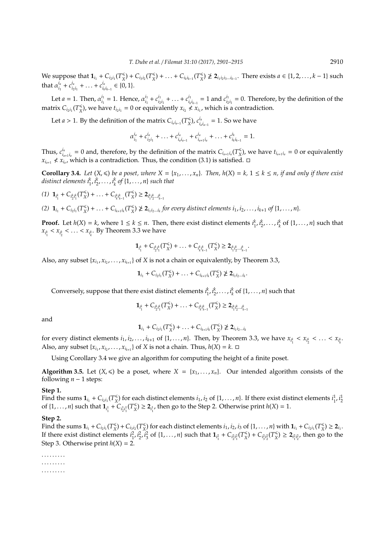We suppose that  $\mathbf{1}_{i_1} + C_{i_2 i_1} (T_X^{\leq \mathbb{R}})$  $C_{i_3 i_2}^{\le}(T_X^{\le})$  $\binom{m}{X}$  + ... +  $C_{i_k i_{k-1}} (T_X^{\leq}$  $\binom{4}{x}$   $\ngeq 2$ <sub>*i*1*i*<sub>2</sub>*i*<sub>3</sub>...*i*<sub>*k*−1</sub></sub>. There exists *a* ∈ {1*,* 2*,* . . . *, k* − 1} such that  $\alpha_i^{i_a}$  $i_a$ <sub>*i*<sub>1</sub></sub> +  $c_{i_2}$ <sup>*i<sub>a</sub>*</sup>  $\frac{i_a}{i_2 i_1} + \ldots + c_{i_k}^{i_a}$  $i_{i_k i_{k-1}}$  ∈ {0, 1}.

Let  $a = 1$ . Then,  $\alpha_{i_1}^{i_1}$  $i_1^{i_1} = 1$ . Hence,  $\alpha_{i_1}^{i_1}$  $i_1$ <sup>*i*</sup><sub>1</sub> +  $c_{i_2}$ <sup>*i*</sup><sub>1</sub>  $\frac{i_1}{i_2 i_1} + \ldots + c_{i_k}^{i_1}$  $\frac{i_1}{i_k i_{k-1}} = 1$  and  $c_{i_2}^{i_1}$  $\frac{u_1}{u_2 i_1} = 0$ . Therefore, by the definition of the matrix  $C_{i_2i_1}(T_X^{\leq$  $\mathbf{x}$ <sup>2</sup>), we have  $t_{i_2 i_1} = 0$  or equivalently  $x_{i_2} \nless x_{i_1}$ , which is a contradiction.

Let *a* > 1. By the definition of the matrix  $C_{i_a i_{a-1}}(T_X^{\leq})$ *X* ), *c ia*  $\frac{a}{i_a i_{a-1}} = 1$ . So we have

$$
\alpha_{i_1}^{i_a} + c_{i_2i_1}^{i_a} + \ldots + c_{i_{a}i_{a-1}}^{i_a} + c_{i_{a+1}i_a}^{i_a} + \ldots + c_{i_ki_{k-1}}^{i_k} = 1.
$$

Thus,  $c_i^{i_a}$  $\int_{a_{n+1}i_a}^{i_a} = 0$  and, therefore, by the definition of the matrix  $C_{i_{a+1}i_a}(T_X^{\leq i_a})$  $\binom{K}{X}$ , we have  $t_{i_{a+1}i_a} = 0$  or equivalently *x*<sub>*i*<sub>*a*+1</sub> ≮ *x*<sup>*i*</sup><sub>*a*</sub><sup>*i*</sup>, which is a contradiction. Thus, the condition (3.1) is satisfied.  $\Box$ </sub>

**Corollary 3.4.** Let  $(X, \leq)$  be a poset, where  $X = \{x_1, \ldots, x_n\}$ . Then,  $h(X) = k$ ,  $1 \leq k \leq n$ , if and only if there exist *distinct elements*  $i_1^k$ ,  $i_2^k$ , ...,  $i_k^k$  of  $\{1, \ldots, n\}$  such that

$$
(1) \mathbf{1}_{i_1^k} + C_{i_2^k i_1^k}(T_X^{\leq}) + \ldots + C_{i_k^k i_{k-1}^k}(T_X^{\leq}) \geq 2_{i_1^k i_2^k \ldots i_{k-1}^k}
$$

(2)  $\mathbf{1}_{i_1} + C_{i_2 i_1} (T_X^{\leq}$  $\binom{m}{X}$  + ... +  $C_{i_{k+1}i_k}(T_X^{\leq}$  $\leq$   $\geq$   $2_{i_1 i_2 \dots i_k}$  for every distinct elements  $i_1, i_2, \dots, i_{k+1}$  of  $\{1, \dots, n\}$ *.* 

**Proof.** Let  $h(X) = k$ , where  $1 \le k \le n$ . Then, there exist distinct elements  $i_1^k, i_2^k, \ldots, i_k^k$  of  $\{1, \ldots, n\}$  such that  $x_{i_1^k} < x_{i_2^k} < \ldots < x_{i_k^k}$ . By Theorem 3.3 we have

$$
\mathbf{1}_{i_1^k}+C_{i_2^k i_1^k}(T_X^{\leq})+\ldots+C_{i_k^k i_k^k}(T_X^{\leq})\geq 2_{i_1^k i_2^k\ldots i_{k-1}^k}.
$$

Also, any subset  $\{x_{i_1}, x_{i_2}, \ldots, x_{i_{k+1}}\}$  of *X* is not a chain or equivalently, by Theorem 3.3,

$$
\mathbf{1}_{i_1}+C_{i_2i_1}(T_{X}^{\leq})+\ldots+C_{i_{k+1}i_k}(T_{X}^{\leq})\ngeq \mathbf{2}_{i_1i_2\ldots i_k}.
$$

Conversely, suppose that there exist distinct elements  $i_1^k, i_2^k, \ldots, i_k^k$  of  $\{1, \ldots, n\}$  such that

$$
\mathbf{1}_{i_1^k} + C_{i_2^k i_1^k}(T_X^{\leq}) + \ldots + C_{i_k^k i_{k-1}^k}(T_X^{\leq}) \geq 2_{i_1^k i_2^k \ldots i_{k-1}^k}
$$

and

$$
\mathbf{1}_{i_1}+C_{i_2i_1}(T_{X}^{\leq})+\ldots+C_{i_{k+1}i_k}(T_{X}^{\leq})\ngeq \mathbf{2}_{i_1i_2\ldots i_k}
$$

for every distinct elements  $i_1, i_2, \ldots, i_{k+1}$  of  $\{1, \ldots, n\}$ . Then, by Theorem 3.3, we have  $x_{i_1^k} < x_{i_2^k} < \ldots < x_{i_k^k}$ . Also, any subset  $\{x_{i_1}, x_{i_2}, \ldots, x_{i_{k+1}}\}$  of *X* is not a chain. Thus,  $h(X) = k$ .  $\Box$ 

Using Corollary 3.4 we give an algorithm for computing the height of a finite poset.

**Algorithm 3.5.** Let  $(X, \leq)$  be a poset, where  $X = \{x_1, \ldots, x_n\}$ . Our intended algorithm consists of the following  $n - 1$  steps:

#### **Step 1.**

Find the sums  $\mathbf{1}_{i_1} + C_{i_2 i_1} (T_X^{\leq}$  $\frac{1}{X}$  for each distinct elements *i*<sub>1</sub>, *i*<sub>2</sub> of {1, . . . , *n*}. If there exist distinct elements *i*<sub>1</sub>, *i*<sub>1</sub> of  $\{1, ..., n\}$  such that  $\mathbf{1}_{i_1^1} + C_{i_2^1 i_1^1} (T_X^{\leq}$  $X \leq \sum_{i=1}^{k}$ , then go to the Step 2. Otherwise print  $h(X) = 1$ .

#### **Step 2.**

Find the sums  $\mathbf{1}_{i_1} + C_{i_2 i_1} (T_X^{\leq}$  $(X \times X) + C_{i_3 i_2} (T_X^*$  $\frac{1}{X}$  for each distinct elements *i*<sub>1</sub>, *i*<sub>2</sub>, *i*<sub>3</sub> of {1, . . . , *n*} with **1**<sub>*i*<sub>1</sub></sub> + *C*<sub>*i*<sub>2</sub>*i*<sub>1</sub></sub> (*T*<sub>X</sub><sup>-</sup>  $X^{\leqslant}$  $\geqslant$  2<sub>*i*1</sub></sub>. If there exist distinct elements  $i_1^2$ ,  $i_2^2$ ,  $i_3^2$  of  $\{1, ..., n\}$  such that  $\mathbf{1}_{i_1^2} + C_{i_2^2 i_1^2} (T_X^2)$  $C_{i_3^2 i_2^2}^*(T_X^*$  $\binom{1}{X} \geq 2_{i_1^2 i_2^2}$ , then go to the Step 3. Otherwise print  $h(X) = 2$ .

. . . . . . . . . . . . . . . . . . . . . . . . . . .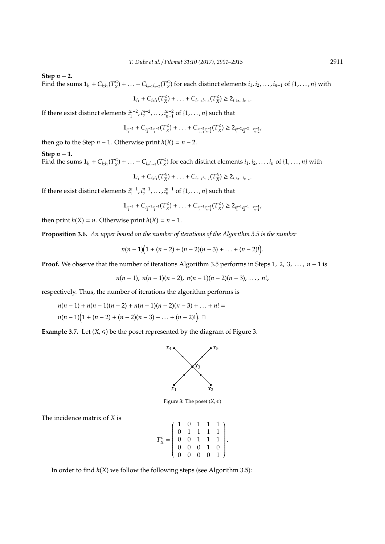Step  $n - 2$ .

Find the sums  $\mathbf{1}_{i_1} + C_{i_2 i_1} (T_X^{\leq}$  $\binom{K}{X}$  + ... +  $C_{i_{n-1}i_{n-2}}(T_X^K)$  $\binom{≤}{X}$  for each distinct elements *i*<sub>1</sub>, *i*<sub>2</sub>, . . . , *i*<sub>*n*−1</sub> of {1, . . . , *n*} with

$$
\mathbf{1}_{i_1}+C_{i_2i_1}(T_{X}^{\leq})+\ldots+C_{i_{n-2}i_{n-3}}(T_{X}^{\leq})\geq 2_{i_1i_2\ldots i_{n-3}}.
$$

If there exist distinct elements  $i_1^{n-2}, i_2^{n-2}, \ldots, i_{n-1}^{n-2}$  of  $\{1, \ldots, n\}$  such that

$$
\mathbf{1}_{i_1^{n-2}}+C_{i_2^{n-2}i_1^{n-2}}(T_{X}^{\leq})+\ldots+C_{i_{n-1}^{n-2}i_{n-2}^{n-2}}(T_{X}^{\leq})\geq \mathbf{2}_{i_1^{n-2}i_2^{n-2}\ldots i_{n-2}^{n-2}},
$$

then go to the Step  $n - 1$ . Otherwise print  $h(X) = n - 2$ .

#### Step  $n - 1$ .

Find the sums  $\mathbf{1}_{i_1} + C_{i_2 i_1} (T_X^{\leq}$  $(X)$  + ... +  $C_{i_n i_{n-1}} (T_X^{\leq$  $\frac{1}{X}$  for each distinct elements  $i_1, i_2, \ldots, i_n$  of  $\{1, \ldots, n\}$  with

> $\mathbf{1}_{i_1} + C_{i_2 i_1} (T_X^{\leq$  $(X \times X)$  + ... +  $C_{i_{n-1}i_{n-2}}(T_X^{\leq}$  $\binom{1}{X}$  ≥ 2*i*<sub>1</sub>*i*<sub>2</sub>...*i*<sub>*n*−2</sub>.

If there exist distinct elements  $i_1^{n-1}, i_2^{n-1}, \ldots, i_n^{n-1}$  of  $\{1, \ldots, n\}$  such that

$$
\mathbf{1}_{i_1^{n-1}}+C_{i_2^{n-1}i_1^{n-1}}(T^{\leq}_{X})+\ldots+C_{i_n^{n-1}i_{n-1}^{n-1}}(T^{\leq}_{X})\geq \mathbf{2}_{i_1^{n-1}i_2^{n-1}\ldots i_{n-1}^{n-1}}.
$$

then print  $h(X) = n$ . Otherwise print  $h(X) = n - 1$ .

**Proposition 3.6.** *An upper bound on the number of iterations of the Algorithm 3.5 is the number*

$$
n(n-1)(1+(n-2)+(n-2)(n-3)+\ldots+(n-2)!)
$$

**Proof.** We observe that the number of iterations Algorithm 3.5 performs in Steps 1, 2, 3, . . . , *n* − 1 is

$$
n(n-1), n(n-1)(n-2), n(n-1)(n-2)(n-3), \ldots, n!,
$$

respectively. Thus, the number of iterations the algorithm performs is

$$
n(n-1) + n(n-1)(n-2) + n(n-1)(n-2)(n-3) + \dots + n! =
$$
  

$$
n(n-1)(1 + (n-2) + (n-2)(n-3) + \dots + (n-2)!) \cdot \square
$$

**Example 3.7.** Let  $(X, \leq)$  be the poset represented by the diagram of Figure 3.



Figure 3: The poset  $(X, \leq)$ 

The incidence matrix of *X* is

*T* 6 *X* = 1 0 1 1 1 0 1 1 1 1 0 0 1 1 1 0 0 0 1 0 0 0 0 0 1 .

In order to find *h*(*X*) we follow the following steps (see Algorithm 3.5):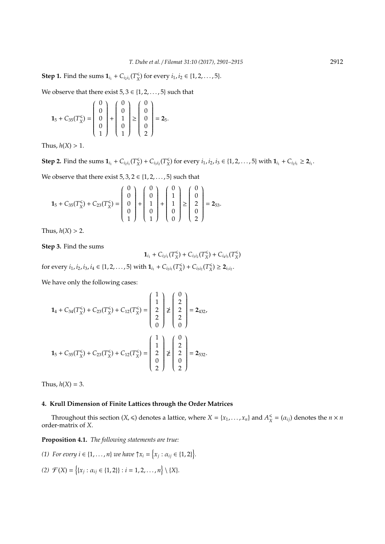**Step 1.** Find the sums  $\mathbf{1}_{i_1} + C_{i_2 i_1} (T_X^{\leq})$ *X*<sup>( $\times$ </sup>) for every *i*<sub>1</sub>, *i*<sub>2</sub>  $\in$  {1, 2, . . . , 5}.

We observe that there exist  $5, 3 \in \{1, 2, \ldots, 5\}$  such that

$$
1_5 + C_{35}(T_X^{\leq}) = \begin{pmatrix} 0 \\ 0 \\ 0 \\ 0 \\ 1 \end{pmatrix} + \begin{pmatrix} 0 \\ 0 \\ 1 \\ 0 \\ 1 \end{pmatrix} \geq \begin{pmatrix} 0 \\ 0 \\ 0 \\ 0 \\ 2 \end{pmatrix} = 2_5.
$$

Thus,  $h(X) > 1$ .

**Step 2.** Find the sums  $\mathbf{1}_{i_1} + C_{i_2 i_1} (T_X^{\leq})$  $C_{i_3 i_2}^{\le}(T_X^{\le})$  $\binom{≤}{X}$  for every *i*<sub>1</sub>, *i*<sub>2</sub>, *i*<sub>3</sub> ∈ {1, 2, . . . , 5} with **1**<sub>*i*<sub>1</sub></sub> + *C*<sub>*i*<sub>2</sub>*i*<sub>1</sub></sub> ≥ **2***<sub><i>i*</sup>1</sub>.

We observe that there exist  $5, 3, 2 \in \{1, 2, \ldots, 5\}$  such that

$$
1_5 + C_{35}(T_X^{\leq}) + C_{23}(T_X^{\leq}) = \begin{pmatrix} 0 \\ 0 \\ 0 \\ 0 \\ 1 \end{pmatrix} + \begin{pmatrix} 0 \\ 0 \\ 1 \\ 0 \\ 1 \end{pmatrix} + \begin{pmatrix} 0 \\ 1 \\ 1 \\ 0 \\ 0 \end{pmatrix} \geq \begin{pmatrix} 0 \\ 0 \\ 2 \\ 0 \\ 2 \end{pmatrix} = 2_{53}.
$$

Thus,  $h(X) > 2$ .

**Step 3.** Find the sums

$$
\mathbf{1}_{i_1}+C_{i_2i_1}(T_{X}^{\leq})+C_{i_3i_2}(T_{X}^{\leq})+C_{i_4i_3}(T_{X}^{\leq})
$$

for every  $i_1, i_2, i_3, i_4 \in \{1, 2, ..., 5\}$  with  $\mathbf{1}_{i_1} + C_{i_2 i_1} (T_X^{\leq i_3})$  $C_{i_3 i_2}^{\le}(T_X^{\le})$  $\binom{m}{X} \geq 2_{i_1 i_2}.$ 

We have only the following cases:

$$
1_4 + C_{34}(T_X^{\leq}) + C_{23}(T_X^{\leq}) + C_{12}(T_X^{\leq}) = \begin{pmatrix} 1 \\ 1 \\ 2 \\ 2 \\ 0 \end{pmatrix} \neq \begin{pmatrix} 0 \\ 2 \\ 2 \\ 2 \\ 0 \end{pmatrix} = 2_{432},
$$
  
\n
$$
1_5 + C_{35}(T_X^{\le}) + C_{23}(T_X^{\le}) + C_{12}(T_X^{\le}) = \begin{pmatrix} 1 \\ 1 \\ 2 \\ 0 \\ 2 \end{pmatrix} \neq \begin{pmatrix} 0 \\ 2 \\ 2 \\ 0 \\ 2 \end{pmatrix} = 2_{532}.
$$

Thus,  $h(X) = 3$ .

## **4. Krull Dimension of Finite Lattices through the Order Matrices**

Throughout this section  $(X, \leq)$  denotes a lattice, where  $X = \{x_1, \ldots, x_n\}$  and  $A_X^{\leq}$  $\binom{4}{X}$  = ( $\alpha_{ij}$ ) denotes the *n* × *n* order-matrix of *X*.

**Proposition 4.1.** *The following statements are true:*

- *(1) For every i*  $\in$  {1, ..., *n*} *we have*  $\uparrow x_i = \{x_j : \alpha_{ij} \in \{1, 2\}\}.$
- (2)  $\mathcal{F}(X) = \{(x_j : \alpha_{ij} \in \{1, 2\} \} : i = 1, 2, ..., n\} \setminus \{X\}.$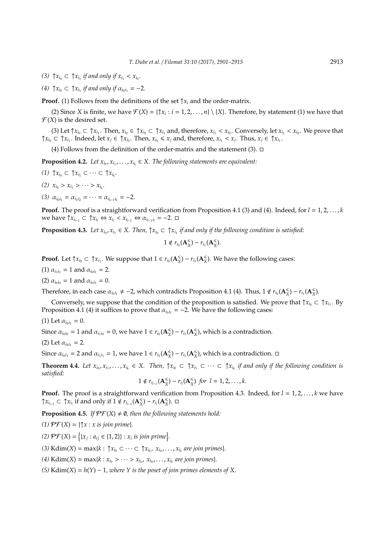- (3)  $\uparrow x_{i_0} \subset \uparrow x_{i_1}$  *if and only if*  $x_{i_1} < x_{i_0}$ *.*
- *(4)*  $\uparrow x_{i_0} \subset \uparrow x_{i_1}$  *if and only if*  $\alpha_{i_0 i_1} = -2$ *.*

**Proof.** (1) Follows from the definitions of the set  $\uparrow x_i$  and the order-matrix.

(2) Since *X* is finite, we have  $\mathcal{F}(X) = \{ \uparrow x_i : i = 1, 2, ..., n \} \setminus \{X\}$ . Therefore, by statement (1) we have that  $\mathcal{F}(X)$  is the desired set.

(3) Let  $\uparrow x_{i_0} \subset \uparrow x_{i_1}$ . Then,  $x_{i_0} \in \uparrow x_{i_0} \subset \uparrow x_{i_1}$  and, therefore,  $x_{i_1} < x_{i_0}$ . Conversely, let  $x_{i_1} < x_{i_0}$ . We prove that  $\uparrow x_{i_0} \subset \uparrow x_{i_1}$ . Indeed, let  $x_j \in \uparrow x_{i_0}$ . Then,  $x_{i_0} \leq x_j$  and, therefore,  $x_{i_1} < x_j$ . Thus,  $x_j \in \uparrow x_{i_1}$ .

(4) Follows from the definition of the order-matrix and the statement (3).  $\Box$ 

**Proposition 4.2.** Let  $x_{i_0}, x_{i_1}, \ldots, x_{i_k} \in X$ . The following statements are equivalent:

- *(1)* ↑  $x_{i_0}$  ⊂ ↑  $x_{i_1}$  ⊂ · · · ⊂ ↑  $x_{i_k}$ .
- (2)  $x_{i_0} > x_{i_1} > \cdots > x_{i_k}$ .
- $(3)$   $\alpha_{i_0i_1} = \alpha_{i_1i_2} = \cdots = \alpha_{i_{k-1}i_k} = -2.$

**Proof.** The proof is a straightforward verification from Proposition 4.1 (3) and (4). Indeed, for  $l = 1, 2, \ldots, k$ we have  $\uparrow x_{i_{l-1}} \subset \uparrow x_{i_l} \Leftrightarrow x_{i_l} < x_{i_{l-1}} \Leftrightarrow \alpha_{i_{l-1}i_l} = -2. \ \Box$ 

**Proposition 4.3.** Let  $x_{i_0}, x_{i_1} \in X$ . Then,  $\uparrow x_{i_0} \subset \uparrow x_{i_1}$  if and only if the following condition is satisfied:

$$
1 \notin r_{i_0}(\mathbf{A}_{X}^{\leq}) - r_{i_1}(\mathbf{A}_{X}^{\leq}).
$$

**Proof.** Let  $\uparrow x_{i_0} \subset \uparrow x_{i_1}$ . We suppose that  $1 \in r_{i_0}(\mathbf{A}_{X}^{\leq})$  $\binom{≤}{X}$  – *r*<sub>*i*1</sub></sub> (**A** $\binom{≤}{X}$  $\binom{8}{X}$ . We have the following cases:

(1)  $\alpha_{i_1 i_1} = 1$  and  $\alpha_{i_0 i_1} = 2$ .

(2)  $\alpha_{i_0i_0} = 1$  and  $\alpha_{i_0i_1} = 0$ .

Therefore, in each case  $\alpha_{i_0i_1}\neq -2$ , which contradicts Proposition 4.1 (4). Thus,  $1\notin r_{i_0}(\mathbf{A}_X^{\leq n})$  $\mathcal{L}_X^{\leqslant}$ ) −  $r_{i_1}$ (**A** $_{X}^{\leqslant}$ *X* ).

Conversely, we suppose that the condition of the proposition is satisfied. We prove that  $\uparrow x_{i_0} \subset \uparrow x_{i_1}$ . By Proposition 4.1 (4) it suffices to prove that  $\alpha_{i_0i_1} = -2$ . We have the following cases:

(1) Let  $\alpha_{i_0i_1} = 0$ .

Since  $\alpha_{i_0i_0} = 1$  and  $\alpha_{i_1i_0} = 0$ , we have  $1 \in r_{i_0}(\mathbf{A}_X^{\leq})$  $\binom{≤}{X}$  – *r*<sub>*i*1</sub></sub> (**A** $\binom{≤}{X}$  $\binom{4}{X}$ , which is a contradiction.

(2) Let  $\alpha_{i_0i_1} = 2$ .

Since  $\alpha_{i_0i_1} = 2$  and  $\alpha_{i_1i_1} = 1$ , we have  $1 \in r_{i_0}(\mathbf{A}_X^{\leq})$  $\binom{≤}{X}$  – *r*<sub>*i*1</sub></sub> (**A** $\binom{≤}{X}$  $\binom{<}{X}$ , which is a contradiction.  $\Box$ 

**Theorem 4.4.** Let  $x_{i_0}, x_{i_1},..., x_{i_k} \in X$ . Then,  $\uparrow x_{i_0} \subset \uparrow x_{i_1} \subset \cdots \subset \uparrow x_{i_k}$  if and only if the following condition is *satisfied:*

$$
1 \notin r_{i_{l-1}}(\mathbf A_X^{\leq}) - r_{i_l}(\mathbf A_X^{\leq}) \ for \ l=1,2,\cdots,k.
$$

**Proof.** The proof is a straightforward verification from Proposition 4.3. Indeed, for  $l = 1, 2, \ldots, k$  we have ↑ $x_{i_{l-1}}$  ⊂ ↑ $x_{i_l}$  if and only if 1 ∉  $r_{i_{l-1}}$  (A<sub>X</sub>  $\binom{≤}{X}$  –  $r_{i_l}$ (**A** $\binom{≤}{X}$ *X* ).

**Proposition 4.5.** *If*  $\mathcal{PF}(X) \neq \emptyset$ *, then the following statements hold:* 

 $(1)$   $\mathcal{P}\mathcal{F}(X) = \{ \uparrow x : x \text{ is join prime} \}.$ 

*(2)*  $\mathcal{PF}(X) = \{(x_j : a_{ij} \in \{1, 2\}\} : x_i \text{ is join prime}\}.$ 

 $(3)$  Kdim(*X*) = max{ $k : \uparrow x_{i_0} \subset \cdots \subset \uparrow x_{i_k}, x_{i_0}, \ldots, x_{i_k}$  are join primes}.

 $(4)$  Kdim(*X*) = max{*k* :  $x_{i_0} > \cdots > x_{i_k}$ ,  $x_{i_0}$ , ...,  $x_{i_k}$  are join primes}.

*(5)* Kdim(*X*) = *h*(*Y*) − 1*, where Y is the poset of join primes elements of X.*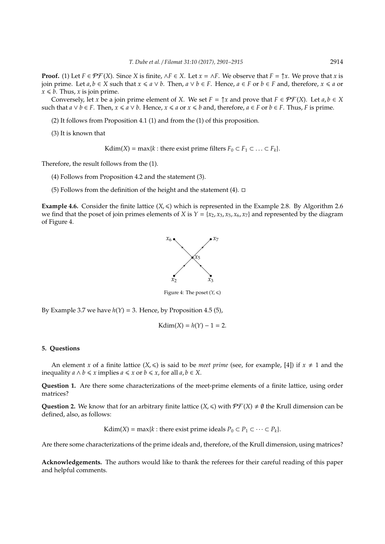**Proof.** (1) Let  $F \in \mathcal{PF}(X)$ . Since *X* is finite,  $\wedge F \in X$ . Let  $x = \wedge F$ . We observe that  $F = \Upsilon x$ . We prove that *x* is join prime. Let *a*, *b* ∈ *X* such that  $x \le a \vee b$ . Then,  $a \vee b \in F$ . Hence,  $a \in F$  or  $b \in F$  and, therefore,  $x \le a$  or  $x \leq b$ . Thus, *x* is join prime.

Conversely, let *x* be a join prime element of *X*. We set  $F = \uparrow x$  and prove that  $F \in \mathcal{PF}(X)$ . Let  $a, b \in X$ such that  $a \lor b \in F$ . Then,  $x \le a \lor b$ . Hence,  $x \le a$  or  $x \le b$  and, therefore,  $a \in F$  or  $b \in F$ . Thus, F is prime.

- (2) It follows from Proposition 4.1 (1) and from the (1) of this proposition.
- (3) It is known that

 $Kdim(X) = max\{k : \text{there exist prime filters } F_0 \subset F_1 \subset \ldots \subset F_k\}.$ 

Therefore, the result follows from the (1).

- (4) Follows from Proposition 4.2 and the statement (3).
- (5) Follows from the definition of the height and the statement (4).  $\Box$

**Example 4.6.** Consider the finite lattice  $(X, \leq)$  which is represented in the Example 2.8. By Algorithm 2.6 we find that the poset of join primes elements of *X* is  $Y = \{x_2, x_3, x_5, x_6, x_7\}$  and represented by the diagram of Figure 4.



Figure 4: The poset  $(Y, \leq)$ 

By Example 3.7 we have  $h(Y) = 3$ . Hence, by Proposition 4.5 (5),

$$
Kdim(X) = h(Y) - 1 = 2.
$$

#### **5. Questions**

An element *x* of a finite lattice  $(X,\leq)$  is said to be *meet prime* (see, for example, [4]) if  $x \neq 1$  and the inequality  $a \wedge b \leq x$  implies  $a \leq x$  or  $b \leq x$ , for all  $a, b \in X$ .

**Question 1.** Are there some characterizations of the meet-prime elements of a finite lattice, using order matrices?

**Question 2.** We know that for an arbitrary finite lattice  $(X, \leq)$  with  $\mathcal{P}\mathcal{F}(X) \neq \emptyset$  the Krull dimension can be defined, also, as follows:

 $Kdim(X) = max\{k : \text{there exist prime ideals } P_0 \subset P_1 \subset \cdots \subset P_k\}.$ 

Are there some characterizations of the prime ideals and, therefore, of the Krull dimension, using matrices?

**Acknowledgements.** The authors would like to thank the referees for their careful reading of this paper and helpful comments.